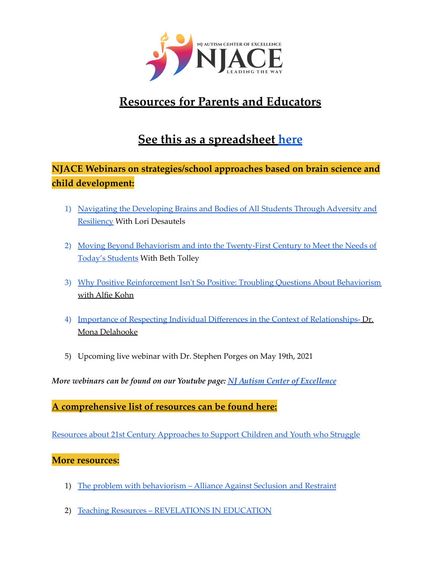

# **Resources for Parents and Educators**

# **See this as a spreadsheet [here](https://docs.google.com/spreadsheets/d/1jQwFeldyfOtwzT6bxs7dB5ri07HV3NnzYJC9jvaUMi4/edit?usp=sharing)**

## **NJACE Webinars on strategies/school approaches based on brain science and child development:**

- 1) Navigating the [Developing](https://youtu.be/rpSYuS9de0I) Brains and Bodies of All Students Through Adversity and [Resiliency](https://youtu.be/rpSYuS9de0I) With Lori Desautels
- 2) Moving Beyond Behaviorism and into the [Twenty-First](https://youtu.be/ioDQ6NDolto) Century to Meet the Needs of Today's [Students](https://youtu.be/ioDQ6NDolto) With Beth Tolley
- 3) Why Positive [Reinforcement](https://youtu.be/Iw0Qxz2dKNo) Isn't So Positive: Troubling Questions About Behaviorism with Alfie [Kohn](https://youtu.be/Iw0Qxz2dKNo)
- 4) Importance of Respecting Individual Differences in the Context of [Relationships-](https://youtu.be/7iJvwk-jjCc) Dr. Mona [Delahooke](https://youtu.be/7iJvwk-jjCc)
- 5) Upcoming live webinar with Dr. Stephen Porges on May 19th, 2021

*More webinars can be found on our Youtube page: NJ Autism Center of [Excellence](https://www.youtube.com/channel/UCfRG4te3SNBxu-Qe01PsiCQ)*

**A comprehensive list of resources can be found here:**

Resources about 21st Century [Approaches](https://endseclusion.org/resources/research-resources/) to Support Children and Youth who Struggle

#### **More resources:**

- 1) The problem with [behaviorism](https://endseclusion.org/research/the-problem-with-behaviorism/) Alliance Against Seclusion and Restraint
- 2) Teaching Resources [REVELATIONS](http://revelationsineducation.com/resources/teaching-resources/) IN EDUCATION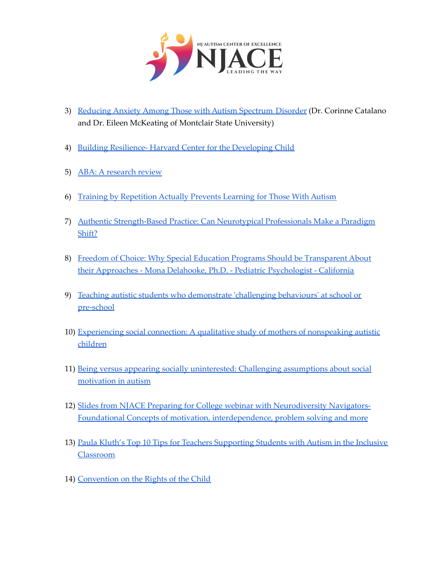

- 3) Reducing Anxiety Among Those with Autism [Spectrum](https://www.psychologytoday.com/us/blog/psyched/202004/reducing-anxiety-among-those-autism-spectrum-disorder) Disorder (Dr. Corinne Catalano and Dr. Eileen McKeating of Montclair State University)
- 4) Building Resilience- Harvard Center for the [Developing](https://developingchild.harvard.edu/science/key-concepts/resilience/) Child
- 5) ABA: A [research](https://a4aontario.com/wp-content/uploads/2020/12/ABA-Research-Review-2020.pdf) review
- 6) Training by [Repetition](https://www.cmu.edu/news/stories/archives/2015/october/repetition-and-autism.html) Actually Prevents Learning for Those With Autism
- 7) Authentic [Strength-Based](https://autismspectrumnews.org/authentic-strength-based-practice-can-neurotypical-professionals-make-a-paradigm-shift/) Practice: Can Neurotypical Professionals Make a Paradigm [Shift?](https://autismspectrumnews.org/authentic-strength-based-practice-can-neurotypical-professionals-make-a-paradigm-shift/)
- 8) Freedom of Choice: Why Special Education Programs Should be [Transparent](https://monadelahooke.com/freedom-choice-special-education-programs-transparent-approaches/) About their Approaches - Mona Delahooke, Ph.D. - Pediatric [Psychologist](https://monadelahooke.com/freedom-choice-special-education-programs-transparent-approaches/) - California
- 9) Teaching autistic students who [demonstrate](https://www.altogetherautism.org.nz/teaching-autistic-students-demonstrate-challenging-behaviours-school-pre-school/) 'challenging behaviours' at school or [pre-school](https://www.altogetherautism.org.nz/teaching-autistic-students-demonstrate-challenging-behaviours-school-pre-school/)
- 10) [Experiencing](https://journals.plos.org/plosone/article?id=10.1371/journal.pone.0242661) social connection: A qualitative study of mothers of nonspeaking autistic [children](https://journals.plos.org/plosone/article?id=10.1371/journal.pone.0242661)
- 11) Being versus appearing socially [uninterested:](https://www.cambridge.org/core/journals/behavioral-and-brain-sciences/article/abs/being-versus-appearing-socially-uninterested-challenging-assumptions-about-social-motivation-in-autism/4E75B5E49CC0061E65A4D78552482AF9) Challenging assumptions about social [motivation](https://www.cambridge.org/core/journals/behavioral-and-brain-sciences/article/abs/being-versus-appearing-socially-uninterested-challenging-assumptions-about-social-motivation-in-autism/4E75B5E49CC0061E65A4D78552482AF9) in autism
- 12) Slides from NJACE Preparing for College webinar with [Neurodiversity](https://www.bellevuecollege.edu/wp-content/uploads/sites/68/2021/02/Preparing-for-College-what-you-can-do-now.pdf) Navigators-Foundational Concepts of motivation, [interdependence,](https://www.bellevuecollege.edu/wp-content/uploads/sites/68/2021/02/Preparing-for-College-what-you-can-do-now.pdf) problem solving and more
- 13) Paula Kluth's Top 10 Tips for Teachers [Supporting](http://archive.brookespublishing.com/documents/kluths_top_ten_tips.pdf) Students with Autism in the Inclusive [Classroom](http://archive.brookespublishing.com/documents/kluths_top_ten_tips.pdf)
- 14) [Convention](https://inotherwordsaac.com/?fbclid=IwAR35xR0E2RI-O8mVsOtXuNMvQWiTmvoMOm4Di1-0scDCLtuXoqQKEnk50h8) on the Rights of the Child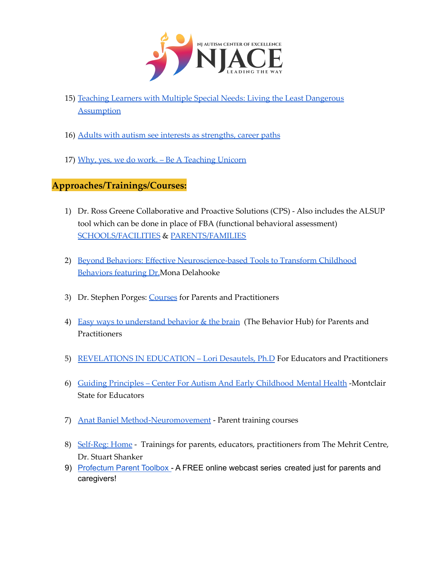

- 15) Teaching Learners with Multiple Special Needs: Living the Least [Dangerous](https://teachinglearnerswithmultipleneeds.blogspot.com/2010/06/living-least-dangerous-assumption.html) **[Assumption](https://teachinglearnerswithmultipleneeds.blogspot.com/2010/06/living-least-dangerous-assumption.html)**
- 16) Adults with autism see interests as [strengths,](https://www.sciencedaily.com/releases/2017/02/170201092629.htm?fbclid=IwAR3P7iuNSKGUK-LLr5OfSTna5Hqa_cAxtCJvalKZeNLbNol-e3xgMfqCWpk) career paths
- 17) Why, yes, we do work. Be A [Teaching](https://teachingunicorn.com/2019/11/03/why-yes-we-do-work/) Unicorn

## **Approaches/Trainings/Courses:**

- 1) Dr. Ross Greene Collaborative and Proactive Solutions (CPS) Also includes the ALSUP tool which can be done in place of FBA (functional behavioral assessment) [SCHOOLS/FACILITIES](https://www.livesinthebalance.org/educators-schools) & [PARENTS/FAMILIES](https://www.livesinthebalance.org/parents-families)
- 2) Beyond Behaviors: Effective [Neuroscience-based](https://catalog.psychotherapynetworker.org/sales/pn_c_af_001442_40_beyondbehaviors_monadelahooke-181395?fbclid=IwAR27guCsa7l17mB6YaBOEhnP7iPDt0SPfRe6yST83Zi99Nt-ZAZMbGBaLe0) Tools to Transform Childhood [Behaviors](https://catalog.psychotherapynetworker.org/sales/pn_c_af_001442_40_beyondbehaviors_monadelahooke-181395?fbclid=IwAR27guCsa7l17mB6YaBOEhnP7iPDt0SPfRe6yST83Zi99Nt-ZAZMbGBaLe0) featuring Dr.Mona Delahooke
- 3) Dr. Stephen Porges: [Courses](https://www.polyvagalinstitute.org/courses) for Parents and Practitioners
- 4) Easy ways to [understand](https://www.thebehaviorhub.com/blog) behavior & the brain (The Behavior Hub) for Parents and Practitioners
- 5) [REVELATIONS](http://revelationsineducation.com) IN EDUCATION Lori Desautels, Ph.D For Educators and Practitioners
- 6) Guiding Principles Center For Autism And Early [Childhood](https://www.montclair.edu/center-for-autism-and-early-childhood-mental-health/guiding-principles/) Mental Health -Montclair State for Educators
- 7) Anat Baniel [Method-Neuromovement](https://www.anatbanielmethod.com/parents-and-caregivers/) Parent training courses
- 8) [Self-Reg:](https://self-reg.ca) Home Trainings for parents, educators, practitioners from The Mehrit Centre, Dr. Stuart Shanker
- 9) [Profectum](https://profectum.org/training-programs/ppt/) Parent Toolbox A FREE online webcast series created just for parents and caregivers!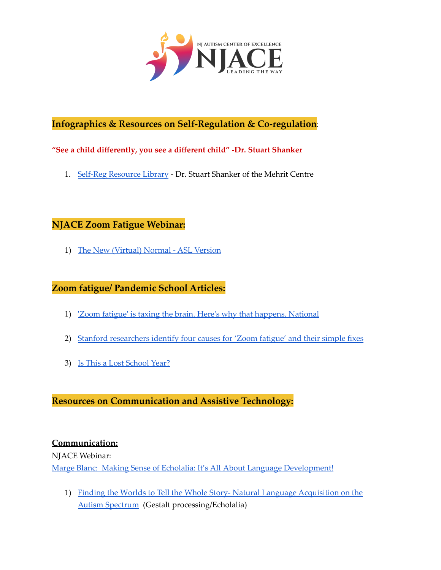

## **Infographics & Resources on Self-Regulation & Co-regulation**:

#### **"See a child differently, you see a different child" -Dr. Stuart Shanker**

1. Self-Reg [Resource](https://self-reg.ca/resource-library/) Library - Dr. Stuart Shanker of the Mehrit Centre

#### **NJACE Zoom Fatigue Webinar:**

1) The New [\(Virtual\)](https://youtu.be/Xp11THNjNpA) Normal - ASL Version

#### **Zoom fatigue/ Pandemic School Articles:**

- 1) 'Zoom fatigue' is taxing the brain. Here's why that [happens.](https://www.nationalgeographic.com/science/article/coronavirus-zoom-fatigue-is-taxing-the-brain-here-is-why-that-happens) National
- 2) Stanford [researchers](https://news.stanford.edu/2021/02/23/four-causes-zoom-fatigue-solutions/?fbclid=IwAR1xrnSFRkVH1EMEmoJobNwN0HOMy4kBQaMLpmYynnBBQxrzjStkylJkej0) identify four causes for 'Zoom fatigue' and their simple fixes
- 3) Is This a Lost [School](https://www.understood.org/en/family/managing-everyday-challenges/lost-school-year-without-learning-loss) Year?

### **Resources on Communication and Assistive Technology:**

#### **Communication:**

NJACE Webinar:

Marge Blanc: Making Sense of Echolalia: It's All About Language [Development!](https://youtu.be/eVgTud-IhQA)

1) Finding the Worlds to Tell the Whole Story- Natural Language [Acquisition](http://www.communicationdevelopmentcenter.com/articles/nla.pdf) on the Autism [Spectrum](http://www.communicationdevelopmentcenter.com/articles/nla.pdf) (Gestalt processing/Echolalia)